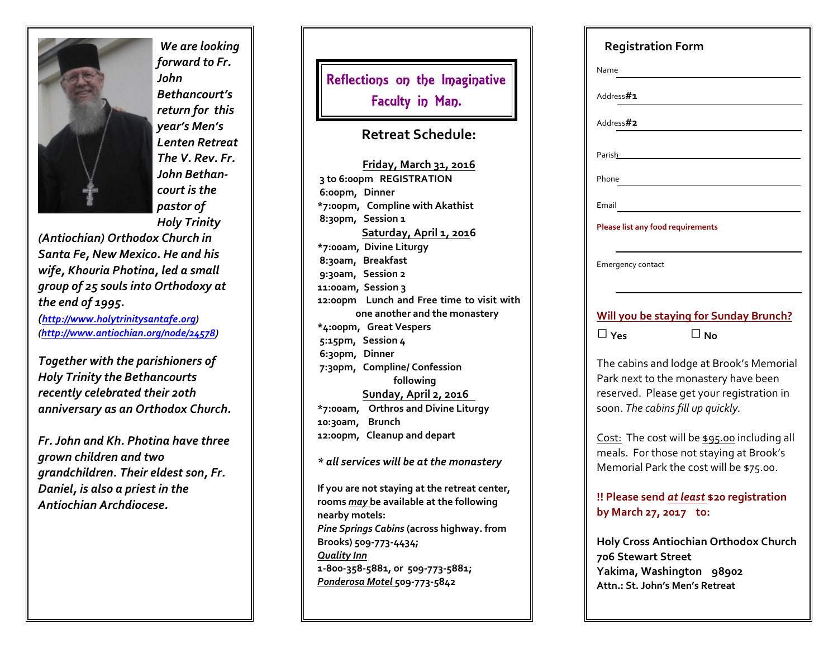

 *We are looking forward to Fr. John Bethancourt's return for this year's Men's Lenten Retreat The V. Rev. Fr. John Bethan court is the pastor of Holy Trinity*

*(Antiochian) Orthodox Churc h in Santa Fe, New Mexico. He and his wife, Kh0uria Photina, led a small group of 25 souls into Orthodoxy at the end of 1995.*

*(<http://www.holytrinitysantafe.org>) [\(http://www.antiochian.org/node/24578](http://www.antiochian.org/node/24578))*

*Together with the parishioners of Holy Trinity the Bethancourts recently celebrated their 20th anniversary as an Orthodox Church.*

*Fr. John and Kh. Photina have three grown children and two grandchildren. Their eldest son, Fr. Daniel, is also a priest in the Antiochian Archdiocese.*

Reflections on the Imaginative l I Faculty in Man. l

### **Retreat S chedu le:**

**Friday, M arch 31, 201 6 3 to 6:00pm REGISTRATION 6:00pm, Dinne r \*7:00pm, Compline wit h Akat hist 8:30pm, Se ssion 1 Saturday, April 1 , 201 6 \*7:00am, Divine Liturgy 8:30am, Breakfast 9:30am, Session 2 11:00am, Session 3 12:00pm Lunch and Fre e time to visit wit h one anot h er and t h e monast ery \*4:00pm, Great Vespers 5:15pm, Session 4 6:30pm, Dinne r 7:30pm, Compline / C onfession following Sunday, April 2, 201 6 \*7:00am, Ort hros and Divine Liturgy 10:30am, Brunch 12:00pm, Cleanup and depart**

*\* all services will be at the mon a stery*

**If you are not staying at t h e re treat cent er, rooms** *may*  **b e available at t h e following nearby mot els:** *Pine Springs Cabins*  **(across high way. from Brooks) 509-773-4434;**  *Quality Inn*  **1-800-358-5881, or 509-7 7 3-5881;**  *Ponderosa Motel* **509-7 7 3-5842**

| <b>Registration Form</b>                                                                                                                                           |
|--------------------------------------------------------------------------------------------------------------------------------------------------------------------|
| Name                                                                                                                                                               |
| Address#1                                                                                                                                                          |
| Address#2                                                                                                                                                          |
| Parish__________                                                                                                                                                   |
| Phone                                                                                                                                                              |
| Email                                                                                                                                                              |
| <b>Please list any food requirements</b>                                                                                                                           |
| Emergency contact                                                                                                                                                  |
| <b>Will you be staying for Sunday Brunch?</b>                                                                                                                      |
| $\Box$ No<br>$\Box$ Yes                                                                                                                                            |
| The cabins and lodge at Brook's Memorial<br>Park next to the monastery have been<br>reserved. Please get your registration in<br>soon. The cabins fill up quickly. |
| Cost: The cost will be \$95.00 including all<br>meals. For those not staying at Brook's<br>Memorial Park the cost will be \$75.00.                                 |
| !! Please send at least \$20 registration<br>by March 27, 2017 to:                                                                                                 |
| <b>Holy Cross Antiochian Orthodox Church</b><br>706 Stewart Street                                                                                                 |

**Yakima, W ashington 989 0 2 A t tn.: St. John's M e n's Re treat**